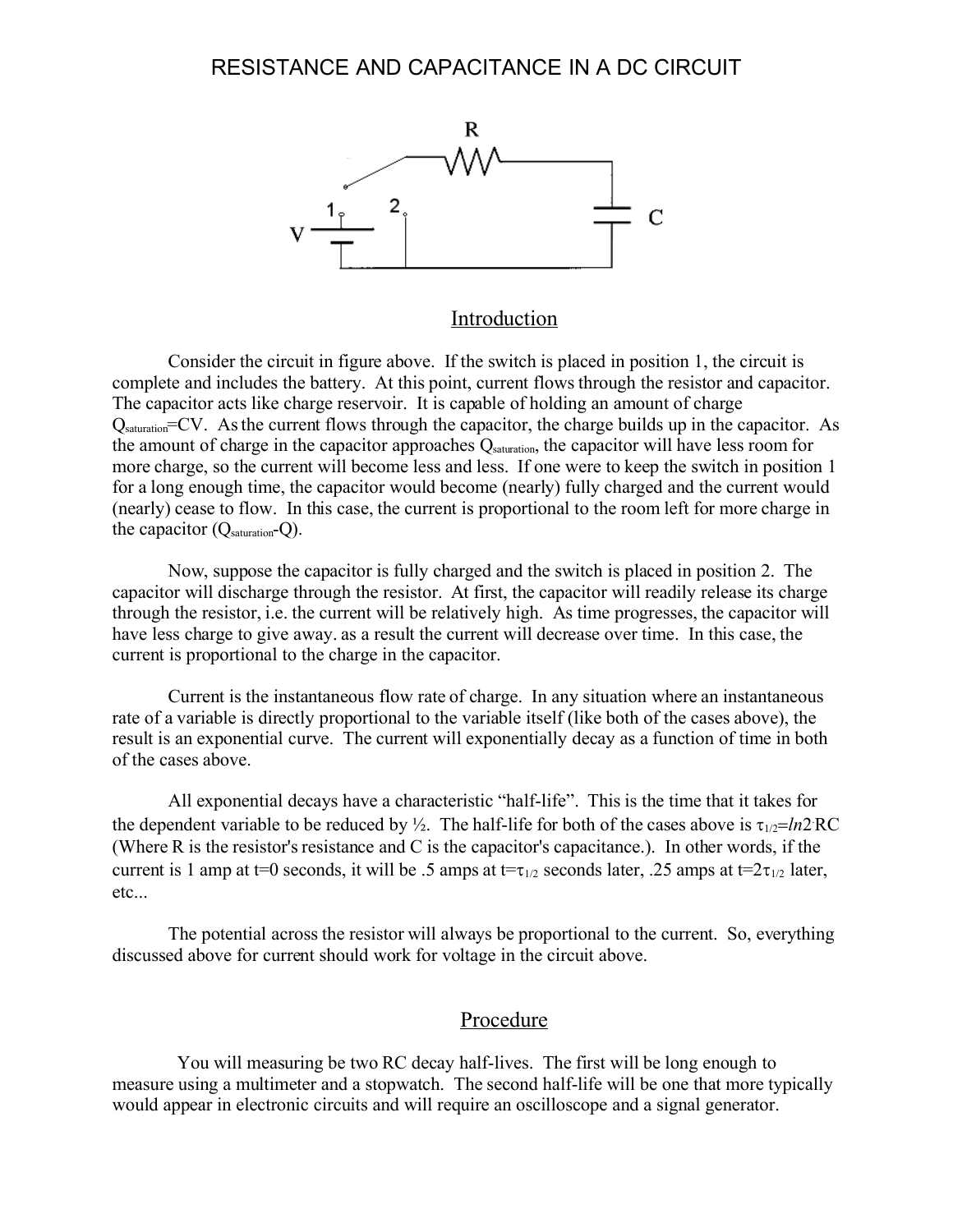

#### Introduction

Consider the circuit in figure above. If the switch is placed in position 1, the circuit is complete and includes the battery. At this point, current flows through the resistor and capacitor. The capacitor acts like charge reservoir. It is capable of holding an amount of charge Qsaturation=CV. Asthe current flows through the capacitor, the charge builds up in the capacitor. As the amount of charge in the capacitor approaches  $Q_{\text{saturation}}$ , the capacitor will have less room for more charge, so the current will become less and less. If one were to keep the switch in position 1 for a long enough time, the capacitor would become (nearly) fully charged and the current would (nearly) cease to flow. In this case, the current is proportional to the room left for more charge in the capacitor  $(Q_{saturation} - Q)$ .

Now, suppose the capacitor is fully charged and the switch is placed in position 2. The capacitor will discharge through the resistor. At first, the capacitor will readily release its charge through the resistor, i.e. the current will be relatively high. As time progresses, the capacitor will have less charge to give away. as a result the current will decrease over time. In this case, the current is proportional to the charge in the capacitor.

Current is the instantaneous flow rate of charge. In any situation where an instantaneous rate of a variable is directly proportional to the variable itself (like both of the cases above), the result is an exponential curve. The current will exponentially decay as a function of time in both of the cases above.

All exponential decays have a characteristic "half-life". This is the time that it takes for the dependent variable to be reduced by  $\frac{1}{2}$ . The half-life for both of the cases above is  $\tau_{1/2} = ln2 RC$ (Where R is the resistor's resistance and C is the capacitor's capacitance.). In other words, if the current is 1 amp at t=0 seconds, it will be .5 amps at t= $\tau_{1/2}$  seconds later, .25 amps at t= $2\tau_{1/2}$  later, etc...

The potential across the resistor will always be proportional to the current. So, everything discussed above for current should work for voltage in the circuit above.

#### Procedure

 You will measuring be two RC decay half-lives. The first will be long enough to measure using a multimeter and a stopwatch. The second half-life will be one that more typically would appear in electronic circuits and will require an oscilloscope and a signal generator.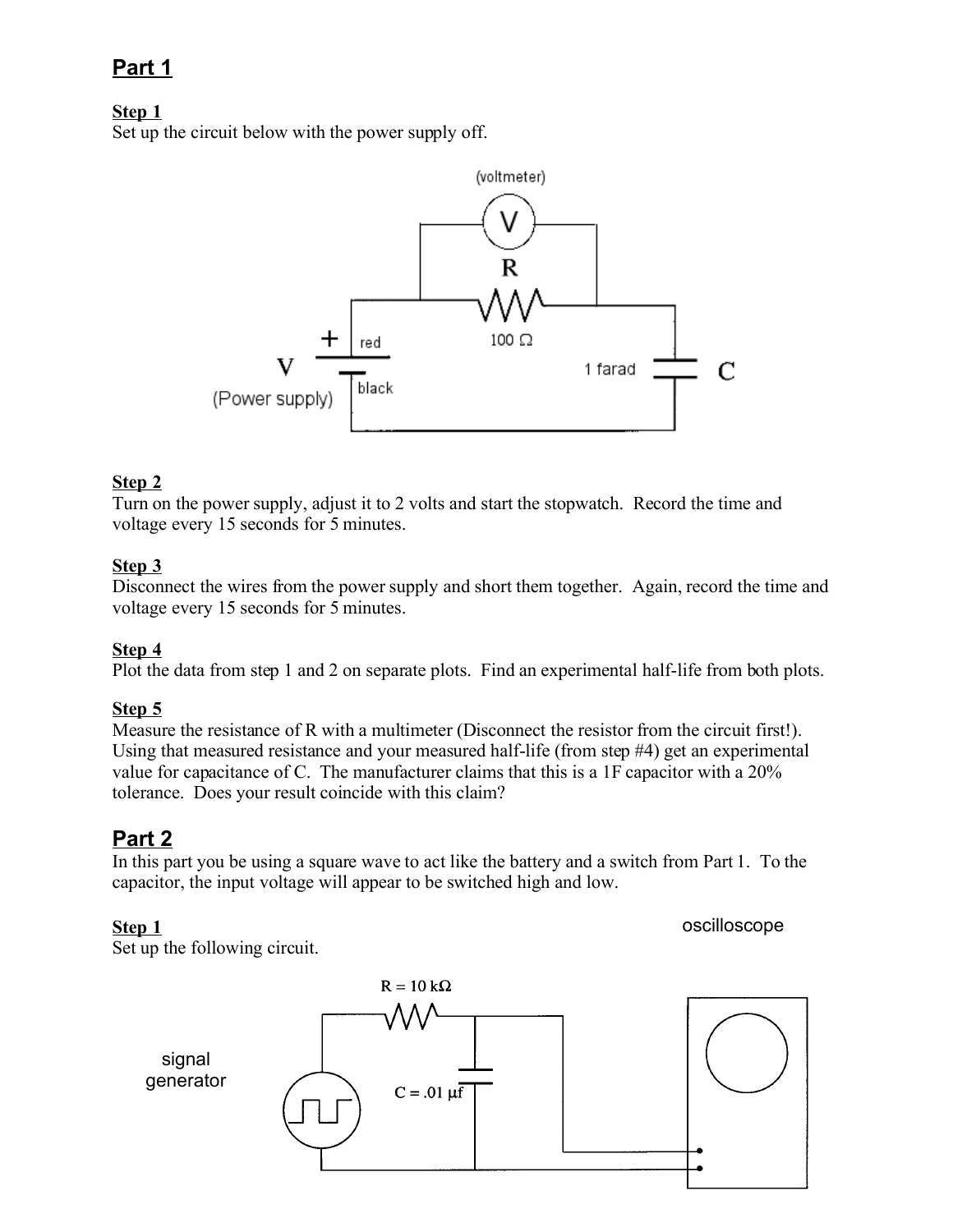# **Part 1**

# **Step 1**

Set up the circuit below with the power supply off.



### **Step 2**

Turn on the power supply, adjust it to 2 volts and start the stopwatch. Record the time and voltage every 15 seconds for 5 minutes.

## **Step 3**

Disconnect the wires from the power supply and short them together. Again, record the time and voltage every 15 seconds for 5 minutes.

## **Step 4**

Plot the data from step 1 and 2 on separate plots. Find an experimental half-life from both plots.

# **Step 5**

Measure the resistance of R with a multimeter (Disconnect the resistor from the circuit first!). Using that measured resistance and your measured half-life (from step #4) get an experimental value for capacitance of C. The manufacturer claims that this is a 1F capacitor with a 20% tolerance. Does your result coincide with this claim?

# **Part 2**

In this part you be using a square wave to act like the battery and a switch from Part 1. To the capacitor, the input voltage will appear to be switched high and low.

## **Step 1**

oscilloscope